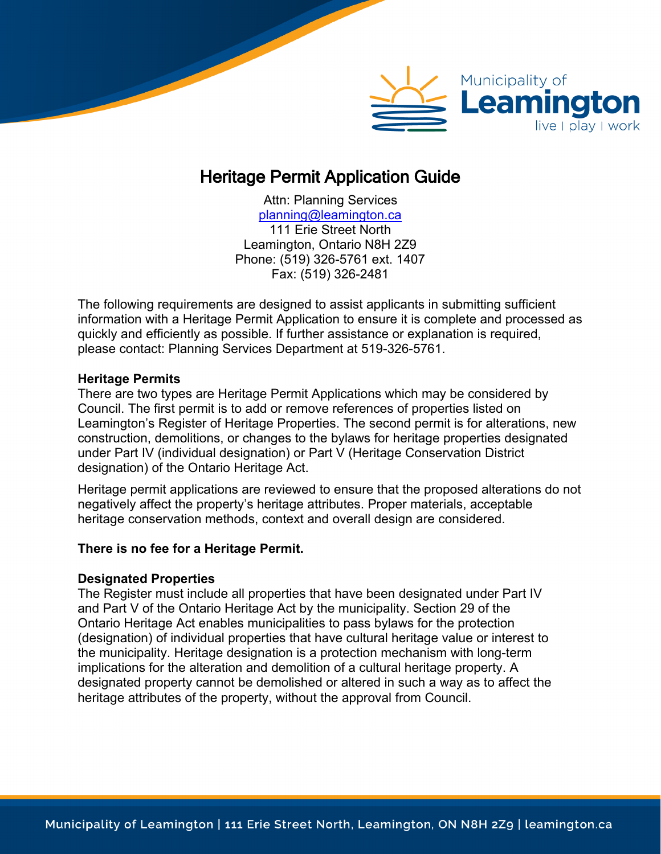

# Heritage Permit Application Guide

Attn: Planning Services [planning@leamington.ca](mailto:planning@leamington.ca) 111 Erie Street North Leamington, Ontario N8H 2Z9 Phone: (519) 326-5761 ext. 1407 Fax: (519) 326-2481

The following requirements are designed to assist applicants in submitting sufficient information with a Heritage Permit Application to ensure it is complete and processed as quickly and efficiently as possible. If further assistance or explanation is required, please contact: Planning Services Department at 519-326-5761.

#### **Heritage Permits**

There are two types are Heritage Permit Applications which may be considered by Council. The first permit is to add or remove references of properties listed on Leamington's Register of Heritage Properties. The second permit is for alterations, new construction, demolitions, or changes to the bylaws for heritage properties designated under Part IV (individual designation) or Part V (Heritage Conservation District designation) of the Ontario Heritage Act.

Heritage permit applications are reviewed to ensure that the proposed alterations do not negatively affect the property's heritage attributes. Proper materials, acceptable heritage conservation methods, context and overall design are considered.

### **There is no fee for a Heritage Permit.**

#### **Designated Properties**

The Register must include all properties that have been designated under Part IV and Part V of the Ontario Heritage Act by the municipality. Section 29 of the Ontario Heritage Act enables municipalities to pass bylaws for the protection (designation) of individual properties that have cultural heritage value or interest to the municipality. Heritage designation is a protection mechanism with long-term implications for the alteration and demolition of a cultural heritage property. A designated property cannot be demolished or altered in such a way as to affect the heritage attributes of the property, without the approval from Council.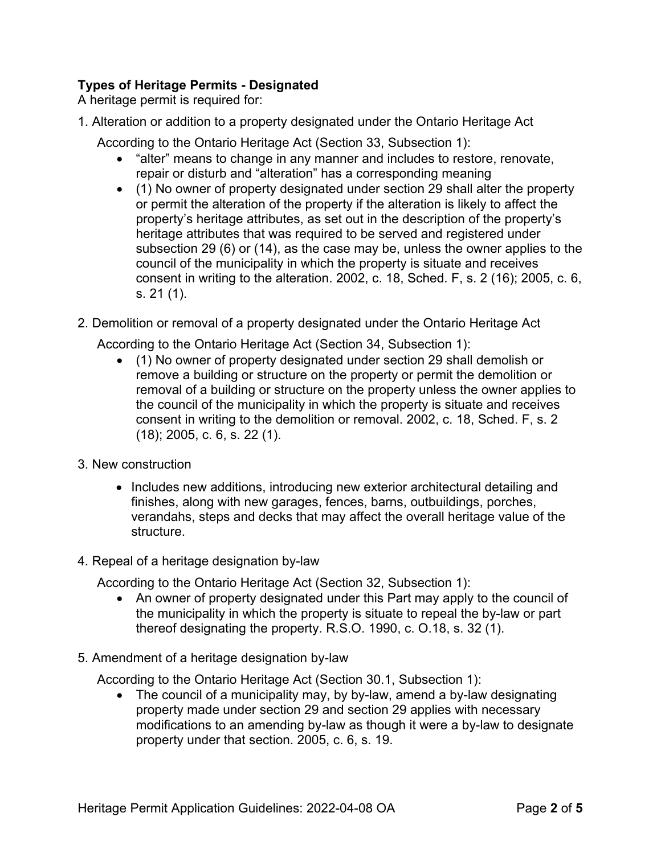# **Types of Heritage Permits - Designated**

A heritage permit is required for:

- 1. Alteration or addition to a property designated under the Ontario Heritage Act
	- According to the Ontario Heritage Act (Section 33, Subsection 1):
		- "alter" means to change in any manner and includes to restore, renovate, repair or disturb and "alteration" has a corresponding meaning
		- (1) No owner of property designated under section 29 shall alter the property or permit the alteration of the property if the alteration is likely to affect the property's heritage attributes, as set out in the description of the property's heritage attributes that was required to be served and registered under subsection 29 (6) or (14), as the case may be, unless the owner applies to the council of the municipality in which the property is situate and receives consent in writing to the alteration. 2002, c. 18, Sched. F, s. 2 (16); 2005, c. 6, s. 21 (1).
- 2. Demolition or removal of a property designated under the Ontario Heritage Act

According to the Ontario Heritage Act (Section 34, Subsection 1):

- (1) No owner of property designated under section 29 shall demolish or remove a building or structure on the property or permit the demolition or removal of a building or structure on the property unless the owner applies to the council of the municipality in which the property is situate and receives consent in writing to the demolition or removal. 2002, c. 18, Sched. F, s. 2 (18); 2005, c. 6, s. 22 (1).
- 3. New construction
	- Includes new additions, introducing new exterior architectural detailing and finishes, along with new garages, fences, barns, outbuildings, porches, verandahs, steps and decks that may affect the overall heritage value of the structure.
- 4. Repeal of a heritage designation by-law

According to the Ontario Heritage Act (Section 32, Subsection 1):

- An owner of property designated under this Part may apply to the council of the municipality in which the property is situate to repeal the by-law or part thereof designating the property. R.S.O. 1990, c. O.18, s. 32 (1).
- 5. Amendment of a heritage designation by-law

According to the Ontario Heritage Act (Section 30.1, Subsection 1):

• The council of a municipality may, by by-law, amend a by-law designating property made under section 29 and section 29 applies with necessary modifications to an amending by-law as though it were a by-law to designate property under that section. 2005, c. 6, s. 19.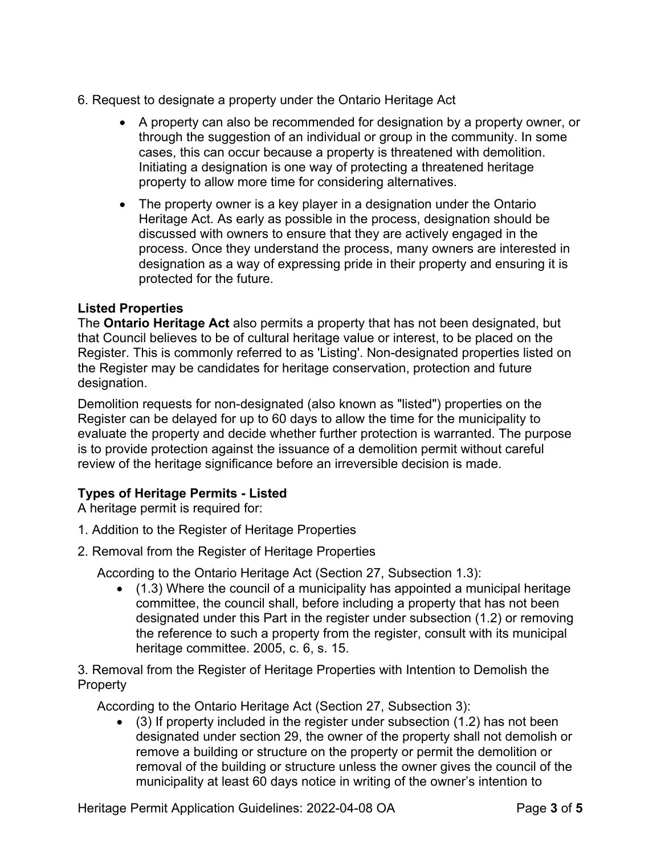- 6. Request to designate a property under the Ontario Heritage Act
	- A property can also be recommended for designation by a property owner, or through the suggestion of an individual or group in the community. In some cases, this can occur because a property is threatened with demolition. Initiating a designation is one way of protecting a threatened heritage property to allow more time for considering alternatives.
	- The property owner is a key player in a designation under the Ontario Heritage Act. As early as possible in the process, designation should be discussed with owners to ensure that they are actively engaged in the process. Once they understand the process, many owners are interested in designation as a way of expressing pride in their property and ensuring it is protected for the future.

## **Listed Properties**

The **Ontario Heritage Act** also permits a property that has not been designated, but that Council believes to be of cultural heritage value or interest, to be placed on the Register. This is commonly referred to as 'Listing'. Non-designated properties listed on the Register may be candidates for heritage conservation, protection and future designation.

Demolition requests for non-designated (also known as "listed") properties on the Register can be delayed for up to 60 days to allow the time for the municipality to evaluate the property and decide whether further protection is warranted. The purpose is to provide protection against the issuance of a demolition permit without careful review of the heritage significance before an irreversible decision is made.

# **Types of Heritage Permits - Listed**

A heritage permit is required for:

- 1. Addition to the Register of Heritage Properties
- 2. Removal from the Register of Heritage Properties

According to the Ontario Heritage Act (Section 27, Subsection 1.3):

• (1.3) Where the council of a municipality has appointed a municipal heritage committee, the council shall, before including a property that has not been designated under this Part in the register under subsection (1.2) or removing the reference to such a property from the register, consult with its municipal heritage committee. 2005, c. 6, s. 15.

3. Removal from the Register of Heritage Properties with Intention to Demolish the Property

According to the Ontario Heritage Act (Section 27, Subsection 3):

• (3) If property included in the register under subsection (1.2) has not been designated under section 29, the owner of the property shall not demolish or remove a building or structure on the property or permit the demolition or removal of the building or structure unless the owner gives the council of the municipality at least 60 days notice in writing of the owner's intention to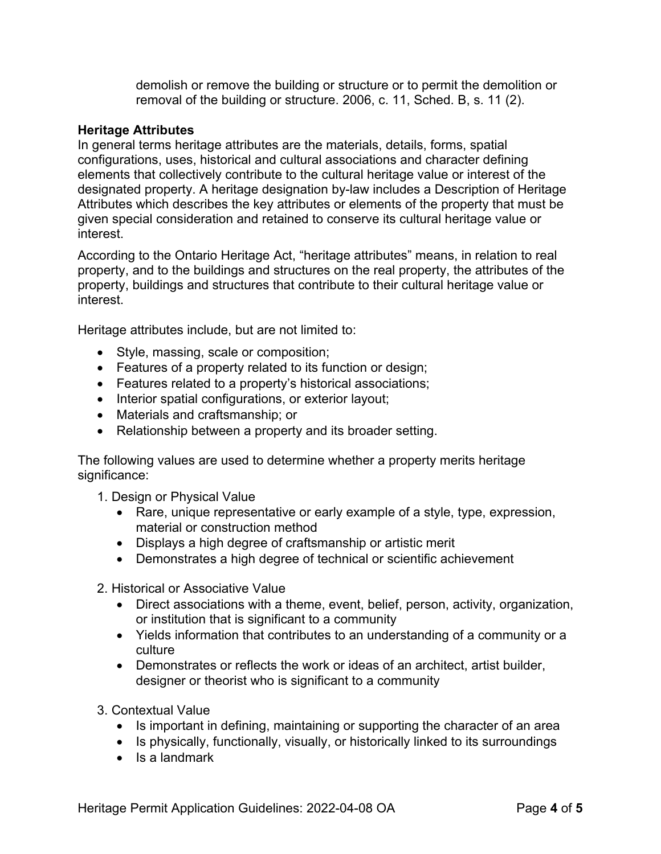demolish or remove the building or structure or to permit the demolition or removal of the building or structure. 2006, c. 11, Sched. B, s. 11 (2).

#### **Heritage Attributes**

In general terms heritage attributes are the materials, details, forms, spatial configurations, uses, historical and cultural associations and character defining elements that collectively contribute to the cultural heritage value or interest of the designated property. A heritage designation by-law includes a Description of Heritage Attributes which describes the key attributes or elements of the property that must be given special consideration and retained to conserve its cultural heritage value or interest.

According to the Ontario Heritage Act, "heritage attributes" means, in relation to real property, and to the buildings and structures on the real property, the attributes of the property, buildings and structures that contribute to their cultural heritage value or interest.

Heritage attributes include, but are not limited to:

- Style, massing, scale or composition;
- Features of a property related to its function or design;
- Features related to a property's historical associations;
- Interior spatial configurations, or exterior layout;
- Materials and craftsmanship; or
- Relationship between a property and its broader setting.

The following values are used to determine whether a property merits heritage significance:

1. Design or Physical Value

- Rare, unique representative or early example of a style, type, expression, material or construction method
- Displays a high degree of craftsmanship or artistic merit
- Demonstrates a high degree of technical or scientific achievement

2. Historical or Associative Value

- Direct associations with a theme, event, belief, person, activity, organization, or institution that is significant to a community
- Yields information that contributes to an understanding of a community or a culture
- Demonstrates or reflects the work or ideas of an architect, artist builder, designer or theorist who is significant to a community

3. Contextual Value

- Is important in defining, maintaining or supporting the character of an area
- Is physically, functionally, visually, or historically linked to its surroundings
- Is a landmark